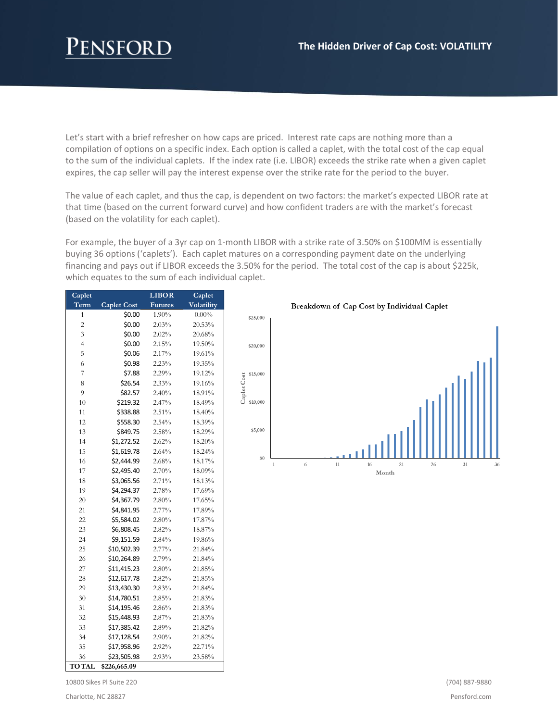Let's start with a brief refresher on how caps are priced. Interest rate caps are nothing more than a compilation of options on a specific index. Each option is called a caplet, with the total cost of the cap equal to the sum of the individual caplets. If the index rate (i.e. LIBOR) exceeds the strike rate when a given caplet expires, the cap seller will pay the interest expense over the strike rate for the period to the buyer.

The value of each caplet, and thus the cap, is dependent on two factors: the market's expected LIBOR rate at that time (based on the current forward curve) and how confident traders are with the market's forecast (based on the volatility for each caplet).

For example, the buyer of a 3yr cap on 1-month LIBOR with a strike rate of 3.50% on \$100MM is essentially buying 36 options ('caplets'). Each caplet matures on a corresponding payment date on the underlying financing and pays out if LIBOR exceeds the 3.50% for the period. The total cost of the cap is about \$225k, which equates to the sum of each individual caplet.

| Caplet         |                    | <b>LIBOR</b>   | Caplet     |
|----------------|--------------------|----------------|------------|
| Term           | <b>Caplet Cost</b> | <b>Futures</b> | Volatility |
| 1              | \$0.00             | 1.90%          | $0.00\%$   |
| $\overline{c}$ | \$0.00             | 2.03%          | 20.53%     |
| 3              | \$0.00             | 2.02%          | 20.68%     |
| $\overline{4}$ | \$0.00             | 2.15%          | 19.50%     |
| 5              | \$0.06             | 2.17%          | 19.61%     |
| 6              | \$0.98             | 2.23%          | 19.35%     |
| $\overline{7}$ | \$7.88             | 2.29%          | 19.12%     |
| 8              | \$26.54            | 2.33%          | 19.16%     |
| 9              | \$82.57            | 2.40%          | 18.91%     |
| 10             | \$219.32           | 2.47%          | 18.49%     |
| 11             | \$338.88           | 2.51%          | 18.40%     |
| 12             | \$558.30           | 2.54%          | 18.39%     |
| 13             | \$849.75           | 2.58%          | 18.29%     |
| 14             | \$1,272.52         | 2.62%          | 18.20%     |
| 15             | \$1,619.78         | 2.64%          | 18.24%     |
| 16             | \$2,444.99         | 2.68%          | 18.17%     |
| 17             | \$2,495.40         | 2.70%          | 18.09%     |
| 18             | \$3,065.56         | 2.71%          | 18.13%     |
| 19             | \$4,294.37         | 2.78%          | 17.69%     |
| 20             | \$4,367.79         | 2.80%          | 17.65%     |
| 21             | \$4,841.95         | 2.77%          | 17.89%     |
| 22             | \$5,584.02         | 2.80%          | 17.87%     |
| 23             | \$6,808.45         | 2.82%          | 18.87%     |
| 24             | \$9,151.59         | 2.84%          | 19.86%     |
| 25             | \$10,502.39        | 2.77%          | 21.84%     |
| 26             | \$10,264.89        | 2.79%          | 21.84%     |
| 27             | \$11,415.23        | 2.80%          | 21.85%     |
| 28             | \$12,617.78        | 2.82%          | 21.85%     |
| 29             | \$13,430.30        | 2.83%          | 21.84%     |
| 30             | \$14,780.51        | 2.85%          | 21.83%     |
| 31             | \$14,195.46        | 2.86%          | 21.83%     |
| 32             | \$15,448.93        | 2.87%          | 21.83%     |
| 33             | \$17,385.42        | 2.89%          | 21.82%     |
| 34             | \$17,128.54        | 2.90%          | 21.82%     |
| 35             | \$17,958.96        | 2.92%          | 22.71%     |
| 36             | \$23,505.98        | 2.93%          | 23.58%     |
| <b>TOTAL</b>   | \$226,665.09       |                |            |

Breakdown of Cap Cost by Individual Caplet



10800 Sikes Pl Suite 220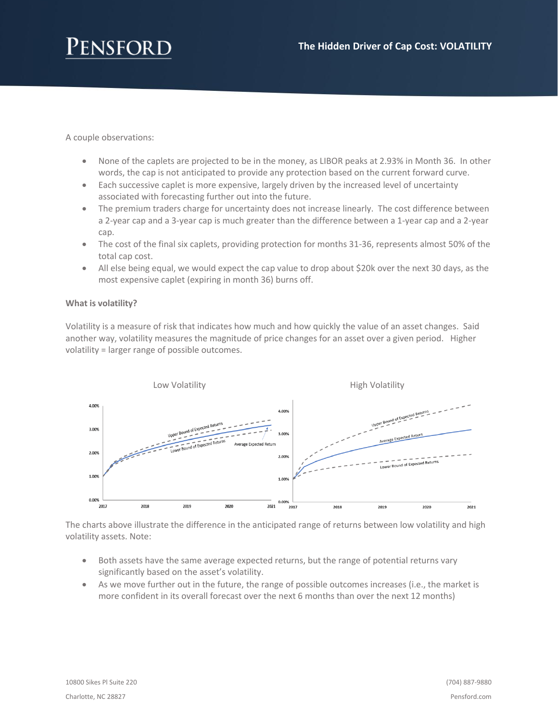

A couple observations:

- None of the caplets are projected to be in the money, as LIBOR peaks at 2.93% in Month 36. In other words, the cap is not anticipated to provide any protection based on the current forward curve.
- Each successive caplet is more expensive, largely driven by the increased level of uncertainty associated with forecasting further out into the future.
- The premium traders charge for uncertainty does not increase linearly. The cost difference between a 2-year cap and a 3-year cap is much greater than the difference between a 1-year cap and a 2-year cap.
- The cost of the final six caplets, providing protection for months 31-36, represents almost 50% of the total cap cost.
- All else being equal, we would expect the cap value to drop about \$20k over the next 30 days, as the most expensive caplet (expiring in month 36) burns off.

## **What is volatility?**

Volatility is a measure of risk that indicates how much and how quickly the value of an asset changes. Said another way, volatility measures the magnitude of price changes for an asset over a given period. Higher volatility = larger range of possible outcomes.



The charts above illustrate the difference in the anticipated range of returns between low volatility and high volatility assets. Note:

- Both assets have the same average expected returns, but the range of potential returns vary significantly based on the asset's volatility.
- As we move further out in the future, the range of possible outcomes increases (i.e., the market is more confident in its overall forecast over the next 6 months than over the next 12 months)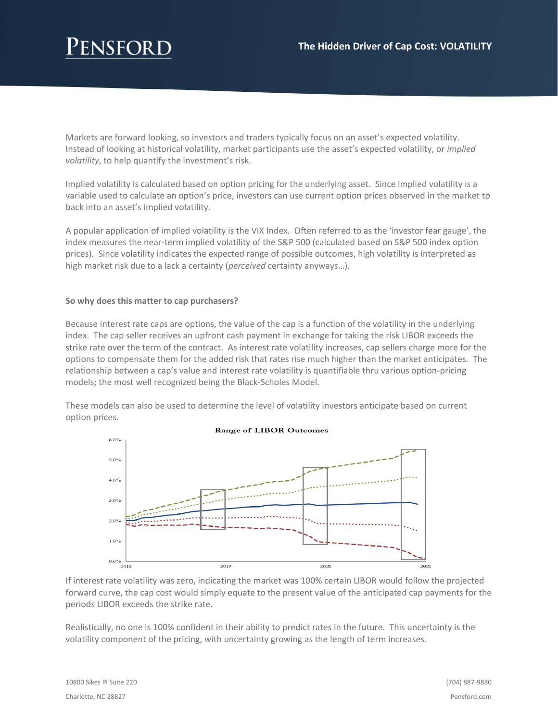Markets are forward looking, so investors and traders typically focus on an asset's expected volatility. Instead of looking at historical volatility, market participants use the asset's expected volatility, or *implied volatility*, to help quantify the investment's risk.

Implied volatility is calculated based on option pricing for the underlying asset. Since implied volatility is a variable used to calculate an option's price, investors can use current option prices observed in the market to back into an asset's implied volatility.

A popular application of implied volatility is the VIX Index. Often referred to as the 'investor fear gauge', the index measures the near-term implied volatility of the S&P 500 (calculated based on S&P 500 index option prices). Since volatility indicates the expected range of possible outcomes, high volatility is interpreted as high market risk due to a lack a certainty (*perceived* certainty anyways…).

#### **So why does this matter to cap purchasers?**

Because interest rate caps are options, the value of the cap is a function of the volatility in the underlying index. The cap seller receives an upfront cash payment in exchange for taking the risk LIBOR exceeds the strike rate over the term of the contract. As interest rate volatility increases, cap sellers charge more for the options to compensate them for the added risk that rates rise much higher than the market anticipates. The relationship between a cap's value and interest rate volatility is quantifiable thru various option-pricing models; the most well recognized being the Black-Scholes Model.

These models can also be used to determine the level of volatility investors anticipate based on current option prices.



If interest rate volatility was zero, indicating the market was 100% certain LIBOR would follow the projected forward curve, the cap cost would simply equate to the present value of the anticipated cap payments for the periods LIBOR exceeds the strike rate.

Realistically, no one is 100% confident in their ability to predict rates in the future. This uncertainty is the volatility component of the pricing, with uncertainty growing as the length of term increases.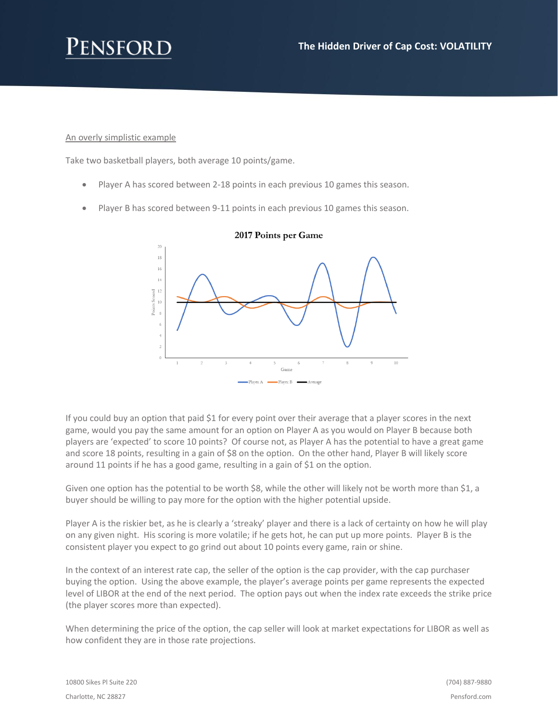# ENSFOR

## An overly simplistic example

Take two basketball players, both average 10 points/game.

- Player A has scored between 2-18 points in each previous 10 games this season.
- Player B has scored between 9-11 points in each previous 10 games this season.



## 2017 Points per Game

If you could buy an option that paid \$1 for every point over their average that a player scores in the next game, would you pay the same amount for an option on Player A as you would on Player B because both players are 'expected' to score 10 points? Of course not, as Player A has the potential to have a great game and score 18 points, resulting in a gain of \$8 on the option. On the other hand, Player B will likely score around 11 points if he has a good game, resulting in a gain of \$1 on the option.

Given one option has the potential to be worth \$8, while the other will likely not be worth more than \$1, a buyer should be willing to pay more for the option with the higher potential upside.

Player A is the riskier bet, as he is clearly a 'streaky' player and there is a lack of certainty on how he will play on any given night. His scoring is more volatile; if he gets hot, he can put up more points. Player B is the consistent player you expect to go grind out about 10 points every game, rain or shine.

In the context of an interest rate cap, the seller of the option is the cap provider, with the cap purchaser buying the option. Using the above example, the player's average points per game represents the expected level of LIBOR at the end of the next period. The option pays out when the index rate exceeds the strike price (the player scores more than expected).

When determining the price of the option, the cap seller will look at market expectations for LIBOR as well as how confident they are in those rate projections.